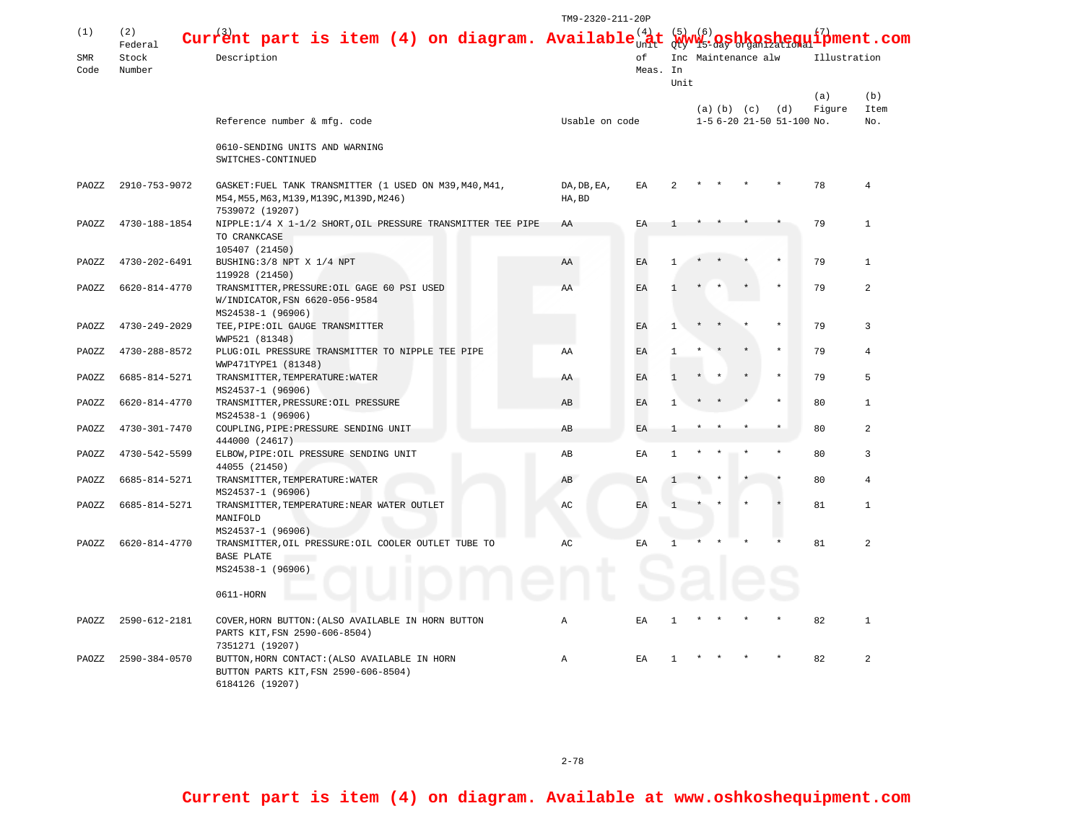|            |                 |                                                                                                                        | TM9-2320-211-20P      |          |              |                                                           |  |                 |                           |              |                |
|------------|-----------------|------------------------------------------------------------------------------------------------------------------------|-----------------------|----------|--------------|-----------------------------------------------------------|--|-----------------|---------------------------|--------------|----------------|
| (1)        | (2)<br>Federal  | Current part is item (4) on diagram. Available $\frac{1}{2}$                                                           |                       |          |              | $\mathbf{sheq}$ ui $\overset{\{7\}}{\mathbf{p}}$ ment.com |  |                 |                           |              |                |
| <b>SMR</b> | Stock<br>Number | Description                                                                                                            | of                    |          |              | Inc Maintenance alw                                       |  |                 |                           | Illustration |                |
| Code       |                 |                                                                                                                        |                       | Meas. In |              |                                                           |  |                 |                           |              |                |
|            |                 |                                                                                                                        |                       |          | Unit         |                                                           |  |                 |                           | (a)          | (b)            |
|            |                 |                                                                                                                        |                       |          |              |                                                           |  | (a) (b) (c) (d) |                           | Figure       | Item           |
|            |                 | Reference number & mfg. code                                                                                           | Usable on code        |          |              |                                                           |  |                 | 1-5 6-20 21-50 51-100 No. |              | No.            |
|            |                 | 0610-SENDING UNITS AND WARNING<br>SWITCHES-CONTINUED                                                                   |                       |          |              |                                                           |  |                 |                           |              |                |
| PAOZZ      | 2910-753-9072   | GASKET: FUEL TANK TRANSMITTER (1 USED ON M39, M40, M41,<br>M54, M55, M63, M139, M139C, M139D, M246)<br>7539072 (19207) | DA, DB, EA,<br>HA, BD | ΕA       |              |                                                           |  |                 |                           | 78           | 4              |
| PAOZZ      | 4730-188-1854   | NIPPLE:1/4 X 1-1/2 SHORT, OIL PRESSURE TRANSMITTER TEE PIPE<br>TO CRANKCASE                                            | AA                    | EA       |              |                                                           |  |                 |                           | 79           | $\mathbf{1}$   |
|            |                 | 105407 (21450)                                                                                                         |                       |          |              |                                                           |  |                 |                           |              |                |
| PAOZZ      | 4730-202-6491   | BUSHING: 3/8 NPT X 1/4 NPT<br>119928 (21450)                                                                           | AA                    | EA       |              |                                                           |  |                 |                           | 79           | $\mathbf{1}$   |
| PAOZZ      | 6620-814-4770   | TRANSMITTER, PRESSURE: OIL GAGE 60 PSI USED<br>W/INDICATOR, FSN 6620-056-9584<br>MS24538-1 (96906)                     | ΑA                    | EA       |              |                                                           |  |                 |                           | 79           | $\overline{a}$ |
| PAOZZ      | 4730-249-2029   | TEE, PIPE: OIL GAUGE TRANSMITTER<br>WWP521 (81348)                                                                     |                       | EA       | -1           |                                                           |  |                 |                           | 79           | 3              |
| PAOZZ      | 4730-288-8572   | PLUG: OIL PRESSURE TRANSMITTER TO NIPPLE TEE PIPE<br>WWP471TYPE1 (81348)                                               | ΑA                    | EA       | $\mathbf{1}$ |                                                           |  |                 |                           | 79           | 4              |
| PAOZZ      | 6685-814-5271   | TRANSMITTER, TEMPERATURE: WATER<br>MS24537-1 (96906)                                                                   | AA                    | EA       |              |                                                           |  |                 |                           | 79           | 5              |
| PAOZZ      | 6620-814-4770   | TRANSMITTER, PRESSURE: OIL PRESSURE<br>MS24538-1 (96906)                                                               | AB                    | EA       | -1           |                                                           |  |                 |                           | 80           | $\mathbf{1}$   |
| PAOZZ      | 4730-301-7470   | COUPLING, PIPE: PRESSURE SENDING UNIT<br>444000 (24617)                                                                | AB                    | EA       |              |                                                           |  |                 |                           | 80           | 2              |
| PAOZZ      | 4730-542-5599   | ELBOW, PIPE: OIL PRESSURE SENDING UNIT<br>44055 (21450)                                                                | AB                    | EA       | $\mathbf{1}$ |                                                           |  |                 |                           | 80           | 3              |
| PAOZZ      | 6685-814-5271   | TRANSMITTER, TEMPERATURE: WATER<br>MS24537-1 (96906)                                                                   | AB                    | ΕA       |              |                                                           |  |                 |                           | 80           | 4              |
| PAOZZ      | 6685-814-5271   | TRANSMITTER, TEMPERATURE: NEAR WATER OUTLET<br>MANIFOLD                                                                | AC                    | EA       |              |                                                           |  |                 |                           | 81           | $\mathbf{1}$   |
| PAOZZ      | 6620-814-4770   | MS24537-1 (96906)<br>TRANSMITTER, OIL PRESSURE: OIL COOLER OUTLET TUBE TO<br>BASE PLATE<br>MS24538-1 (96906)           | AС                    | EA       | 1            |                                                           |  |                 |                           | 81           | $\overline{a}$ |
|            |                 | 0611-HORN                                                                                                              |                       |          |              |                                                           |  |                 |                           |              |                |
| PAOZZ      | 2590-612-2181   | COVER, HORN BUTTON: (ALSO AVAILABLE IN HORN BUTTON<br>PARTS KIT, FSN 2590-606-8504)<br>7351271 (19207)                 | A                     | ΕA       | 1            |                                                           |  |                 |                           | 82           | $\mathbf{1}$   |
| PAOZZ      | 2590-384-0570   | BUTTON, HORN CONTACT: (ALSO AVAILABLE IN HORN<br>BUTTON PARTS KIT, FSN 2590-606-8504)<br>6184126 (19207)               | Α                     | ΕA       | -1           |                                                           |  |                 |                           | 82           | 2              |

2-78

**Current part is item (4) on diagram. Available at www.oshkoshequipment.com**